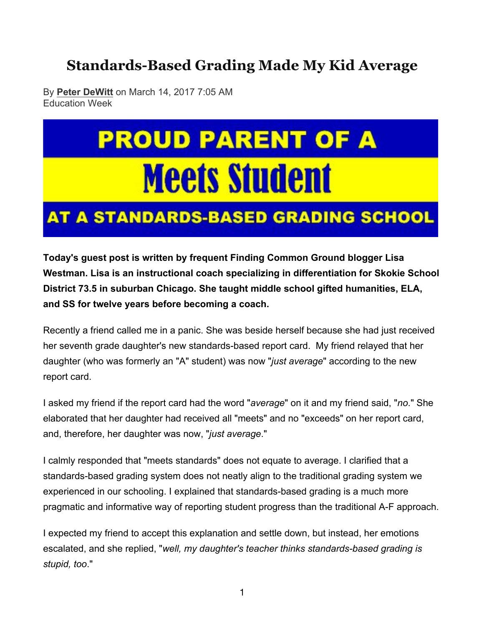### **Standards-Based Grading Made My Kid Average**

By **Peter DeWitt** on March 14, 2017 7:05 AM Education Week

# **PROUD PARENT OF A Meets Student**

## **AT A STANDARDS-BASED GRADING SCHOOL**

**Today's guest post is written by frequent Finding Common Ground blogger Lisa Westman. Lisa is an instructional coach specializing in differentiation for Skokie School District 73.5 in suburban Chicago. She taught middle school gifted humanities, ELA, and SS for twelve years before becoming a coach.**

Recently a friend called me in a panic. She was beside herself because she had just received her seventh grade daughter's new standards-based report card. My friend relayed that her daughter (who was formerly an "A" student) was now "*just average*" according to the new report card.

I asked my friend if the report card had the word "*average*" on it and my friend said, "*no*." She elaborated that her daughter had received all "meets" and no "exceeds" on her report card, and, therefore, her daughter was now, "*just average*."

I calmly responded that "meets standards" does not equate to average. I clarified that a standards-based grading system does not neatly align to the traditional grading system we experienced in our schooling. I explained that standards-based grading is a much more pragmatic and informative way of reporting student progress than the traditional A-F approach.

I expected my friend to accept this explanation and settle down, but instead, her emotions escalated, and she replied, "*well, my daughter's teacher thinks standards-based grading is stupid, too*."

1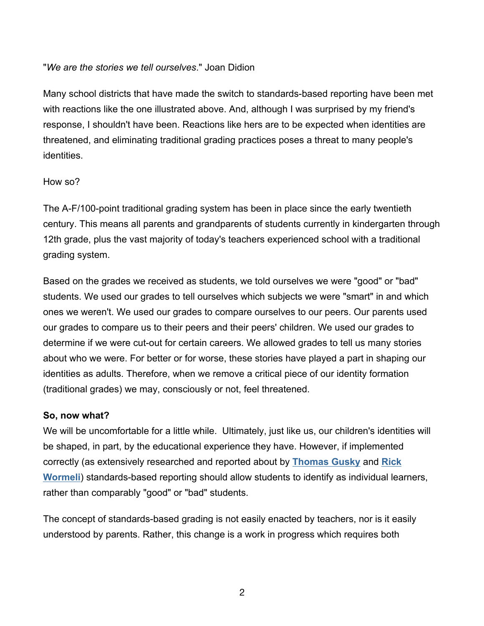#### "*We are the stories we tell ourselves*." Joan Didion

Many school districts that have made the switch to standards-based reporting have been met with reactions like the one illustrated above. And, although I was surprised by my friend's response, I shouldn't have been. Reactions like hers are to be expected when identities are threatened, and eliminating traditional grading practices poses a threat to many people's identities.

#### How so?

The A-F/100-point traditional grading system has been in place since the early twentieth century. This means all parents and grandparents of students currently in kindergarten through 12th grade, plus the vast majority of today's teachers experienced school with a traditional grading system.

Based on the grades we received as students, we told ourselves we were "good" or "bad" students. We used our grades to tell ourselves which subjects we were "smart" in and which ones we weren't. We used our grades to compare ourselves to our peers. Our parents used our grades to compare us to their peers and their peers' children. We used our grades to determine if we were cut-out for certain careers. We allowed grades to tell us many stories about who we were. For better or for worse, these stories have played a part in shaping our identities as adults. Therefore, when we remove a critical piece of our identity formation (traditional grades) we may, consciously or not, feel threatened.

#### **So, now what?**

We will be uncomfortable for a little while. Ultimately, just like us, our children's identities will be shaped, in part, by the educational experience they have. However, if implemented correctly (as extensively researched and reported about by **Thomas Gusky** and **Rick Wormeli**) standards-based reporting should allow students to identify as individual learners, rather than comparably "good" or "bad" students.

The concept of standards-based grading is not easily enacted by teachers, nor is it easily understood by parents. Rather, this change is a work in progress which requires both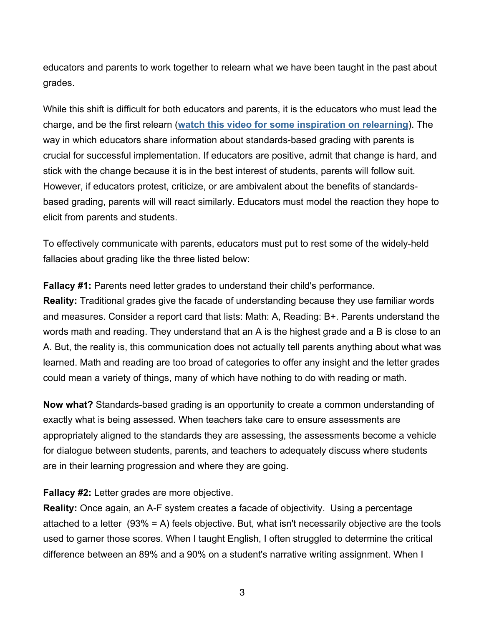educators and parents to work together to relearn what we have been taught in the past about grades.

While this shift is difficult for both educators and parents, it is the educators who must lead the charge, and be the first relearn (**watch this video for some inspiration on relearning**). The way in which educators share information about standards-based grading with parents is crucial for successful implementation. If educators are positive, admit that change is hard, and stick with the change because it is in the best interest of students, parents will follow suit. However, if educators protest, criticize, or are ambivalent about the benefits of standardsbased grading, parents will will react similarly. Educators must model the reaction they hope to elicit from parents and students.

To effectively communicate with parents, educators must put to rest some of the widely-held fallacies about grading like the three listed below:

**Fallacy #1:** Parents need letter grades to understand their child's performance.

**Reality:** Traditional grades give the facade of understanding because they use familiar words and measures. Consider a report card that lists: Math: A, Reading: B+. Parents understand the words math and reading. They understand that an A is the highest grade and a B is close to an A. But, the reality is, this communication does not actually tell parents anything about what was learned. Math and reading are too broad of categories to offer any insight and the letter grades could mean a variety of things, many of which have nothing to do with reading or math.

**Now what?** Standards-based grading is an opportunity to create a common understanding of exactly what is being assessed. When teachers take care to ensure assessments are appropriately aligned to the standards they are assessing, the assessments become a vehicle for dialogue between students, parents, and teachers to adequately discuss where students are in their learning progression and where they are going.

**Fallacy #2:** Letter grades are more objective.

**Reality:** Once again, an A-F system creates a facade of objectivity. Using a percentage attached to a letter (93% = A) feels objective. But, what isn't necessarily objective are the tools used to garner those scores. When I taught English, I often struggled to determine the critical difference between an 89% and a 90% on a student's narrative writing assignment. When I